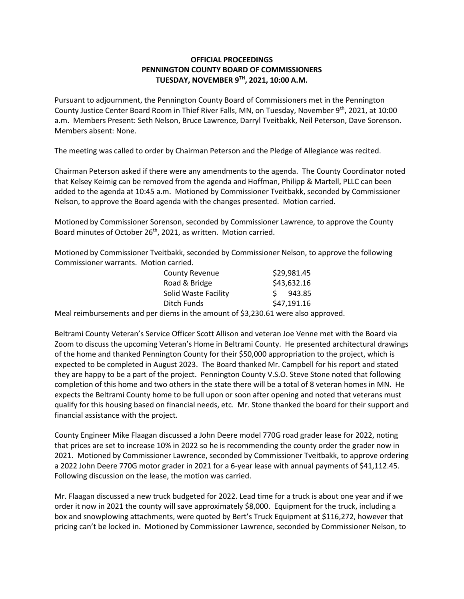## **OFFICIAL PROCEEDINGS PENNINGTON COUNTY BOARD OF COMMISSIONERS TUESDAY, NOVEMBER 9TH, 2021, 10:00 A.M.**

Pursuant to adjournment, the Pennington County Board of Commissioners met in the Pennington County Justice Center Board Room in Thief River Falls, MN, on Tuesday, November  $9<sup>th</sup>$ , 2021, at 10:00 a.m. Members Present: Seth Nelson, Bruce Lawrence, Darryl Tveitbakk, Neil Peterson, Dave Sorenson. Members absent: None.

The meeting was called to order by Chairman Peterson and the Pledge of Allegiance was recited.

Chairman Peterson asked if there were any amendments to the agenda. The County Coordinator noted that Kelsey Keimig can be removed from the agenda and Hoffman, Philipp & Martell, PLLC can been added to the agenda at 10:45 a.m. Motioned by Commissioner Tveitbakk, seconded by Commissioner Nelson, to approve the Board agenda with the changes presented. Motion carried.

Motioned by Commissioner Sorenson, seconded by Commissioner Lawrence, to approve the County Board minutes of October 26<sup>th</sup>, 2021, as written. Motion carried.

Motioned by Commissioner Tveitbakk, seconded by Commissioner Nelson, to approve the following Commissioner warrants. Motion carried.

| <b>County Revenue</b> | \$29,981.45  |
|-----------------------|--------------|
| Road & Bridge         | \$43,632.16  |
| Solid Waste Facility  | S.<br>943.85 |
| Ditch Funds           | \$47,191.16  |

Meal reimbursements and per diems in the amount of \$3,230.61 were also approved.

Beltrami County Veteran's Service Officer Scott Allison and veteran Joe Venne met with the Board via Zoom to discuss the upcoming Veteran's Home in Beltrami County. He presented architectural drawings of the home and thanked Pennington County for their \$50,000 appropriation to the project, which is expected to be completed in August 2023. The Board thanked Mr. Campbell for his report and stated they are happy to be a part of the project. Pennington County V.S.O. Steve Stone noted that following completion of this home and two others in the state there will be a total of 8 veteran homes in MN. He expects the Beltrami County home to be full upon or soon after opening and noted that veterans must qualify for this housing based on financial needs, etc. Mr. Stone thanked the board for their support and financial assistance with the project.

County Engineer Mike Flaagan discussed a John Deere model 770G road grader lease for 2022, noting that prices are set to increase 10% in 2022 so he is recommending the county order the grader now in 2021. Motioned by Commissioner Lawrence, seconded by Commissioner Tveitbakk, to approve ordering a 2022 John Deere 770G motor grader in 2021 for a 6-year lease with annual payments of \$41,112.45. Following discussion on the lease, the motion was carried.

Mr. Flaagan discussed a new truck budgeted for 2022. Lead time for a truck is about one year and if we order it now in 2021 the county will save approximately \$8,000. Equipment for the truck, including a box and snowplowing attachments, were quoted by Bert's Truck Equipment at \$116,272, however that pricing can't be locked in. Motioned by Commissioner Lawrence, seconded by Commissioner Nelson, to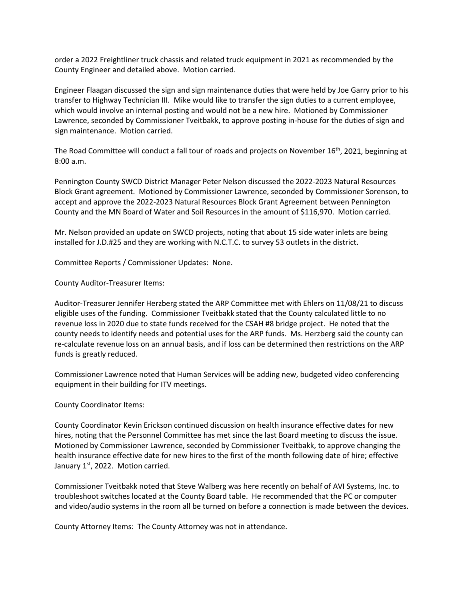order a 2022 Freightliner truck chassis and related truck equipment in 2021 as recommended by the County Engineer and detailed above. Motion carried.

Engineer Flaagan discussed the sign and sign maintenance duties that were held by Joe Garry prior to his transfer to Highway Technician III. Mike would like to transfer the sign duties to a current employee, which would involve an internal posting and would not be a new hire. Motioned by Commissioner Lawrence, seconded by Commissioner Tveitbakk, to approve posting in-house for the duties of sign and sign maintenance. Motion carried.

The Road Committee will conduct a fall tour of roads and projects on November 16th, 2021, beginning at 8:00 a.m.

Pennington County SWCD District Manager Peter Nelson discussed the 2022-2023 Natural Resources Block Grant agreement. Motioned by Commissioner Lawrence, seconded by Commissioner Sorenson, to accept and approve the 2022-2023 Natural Resources Block Grant Agreement between Pennington County and the MN Board of Water and Soil Resources in the amount of \$116,970. Motion carried.

Mr. Nelson provided an update on SWCD projects, noting that about 15 side water inlets are being installed for J.D.#25 and they are working with N.C.T.C. to survey 53 outlets in the district.

Committee Reports / Commissioner Updates: None.

## County Auditor-Treasurer Items:

Auditor-Treasurer Jennifer Herzberg stated the ARP Committee met with Ehlers on 11/08/21 to discuss eligible uses of the funding. Commissioner Tveitbakk stated that the County calculated little to no revenue loss in 2020 due to state funds received for the CSAH #8 bridge project. He noted that the county needs to identify needs and potential uses for the ARP funds. Ms. Herzberg said the county can re-calculate revenue loss on an annual basis, and if loss can be determined then restrictions on the ARP funds is greatly reduced.

Commissioner Lawrence noted that Human Services will be adding new, budgeted video conferencing equipment in their building for ITV meetings.

## County Coordinator Items:

County Coordinator Kevin Erickson continued discussion on health insurance effective dates for new hires, noting that the Personnel Committee has met since the last Board meeting to discuss the issue. Motioned by Commissioner Lawrence, seconded by Commissioner Tveitbakk, to approve changing the health insurance effective date for new hires to the first of the month following date of hire; effective January  $1<sup>st</sup>$ , 2022. Motion carried.

Commissioner Tveitbakk noted that Steve Walberg was here recently on behalf of AVI Systems, Inc. to troubleshoot switches located at the County Board table. He recommended that the PC or computer and video/audio systems in the room all be turned on before a connection is made between the devices.

County Attorney Items: The County Attorney was not in attendance.